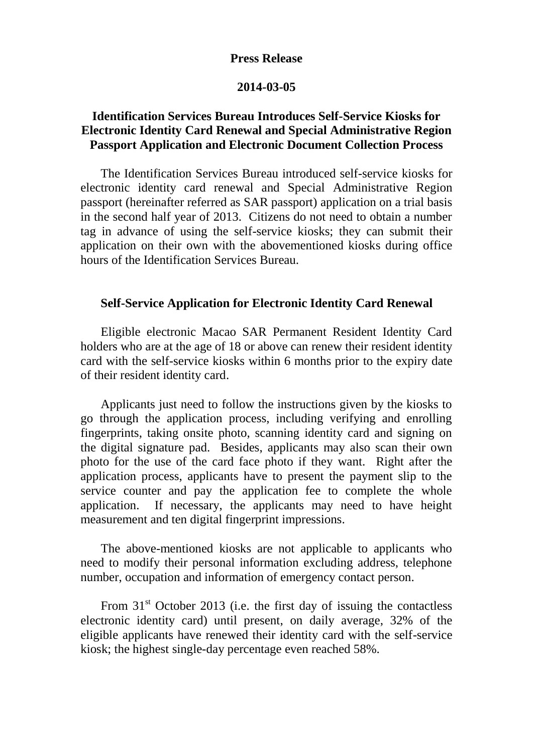## **Press Release**

## **2014-03-05**

# **Identification Services Bureau Introduces Self-Service Kiosks for Electronic Identity Card Renewal and Special Administrative Region Passport Application and Electronic Document Collection Process**

The Identification Services Bureau introduced self-service kiosks for electronic identity card renewal and Special Administrative Region passport (hereinafter referred as SAR passport) application on a trial basis in the second half year of 2013. Citizens do not need to obtain a number tag in advance of using the self-service kiosks; they can submit their application on their own with the abovementioned kiosks during office hours of the Identification Services Bureau.

# **Self-Service Application for Electronic Identity Card Renewal**

Eligible electronic Macao SAR Permanent Resident Identity Card holders who are at the age of 18 or above can renew their resident identity card with the self-service kiosks within 6 months prior to the expiry date of their resident identity card.

Applicants just need to follow the instructions given by the kiosks to go through the application process, including verifying and enrolling fingerprints, taking onsite photo, scanning identity card and signing on the digital signature pad. Besides, applicants may also scan their own photo for the use of the card face photo if they want. Right after the application process, applicants have to present the payment slip to the service counter and pay the application fee to complete the whole application. If necessary, the applicants may need to have height measurement and ten digital fingerprint impressions.

The above-mentioned kiosks are not applicable to applicants who need to modify their personal information excluding address, telephone number, occupation and information of emergency contact person.

From  $31<sup>st</sup>$  October 2013 (i.e. the first day of issuing the contactless electronic identity card) until present, on daily average, 32% of the eligible applicants have renewed their identity card with the self-service kiosk; the highest single-day percentage even reached 58%.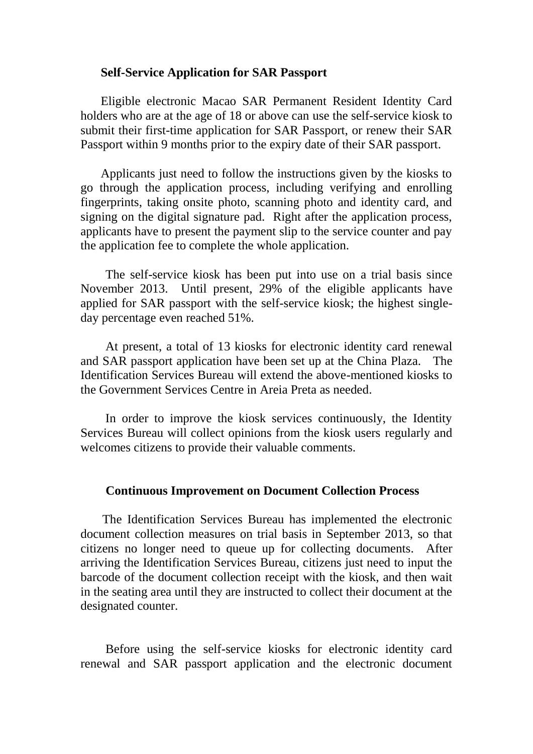### **Self-Service Application for SAR Passport**

Eligible electronic Macao SAR Permanent Resident Identity Card holders who are at the age of 18 or above can use the self-service kiosk to submit their first-time application for SAR Passport, or renew their SAR Passport within 9 months prior to the expiry date of their SAR passport.

Applicants just need to follow the instructions given by the kiosks to go through the application process, including verifying and enrolling fingerprints, taking onsite photo, scanning photo and identity card, and signing on the digital signature pad. Right after the application process, applicants have to present the payment slip to the service counter and pay the application fee to complete the whole application.

The self-service kiosk has been put into use on a trial basis since November 2013. Until present, 29% of the eligible applicants have applied for SAR passport with the self-service kiosk; the highest singleday percentage even reached 51%.

At present, a total of 13 kiosks for electronic identity card renewal and SAR passport application have been set up at the China Plaza. The Identification Services Bureau will extend the above-mentioned kiosks to the Government Services Centre in Areia Preta as needed.

 In order to improve the kiosk services continuously, the Identity Services Bureau will collect opinions from the kiosk users regularly and welcomes citizens to provide their valuable comments.

#### **Continuous Improvement on Document Collection Process**

 The Identification Services Bureau has implemented the electronic document collection measures on trial basis in September 2013, so that citizens no longer need to queue up for collecting documents. After arriving the Identification Services Bureau, citizens just need to input the barcode of the document collection receipt with the kiosk, and then wait in the seating area until they are instructed to collect their document at the designated counter.

Before using the self-service kiosks for electronic identity card renewal and SAR passport application and the electronic document